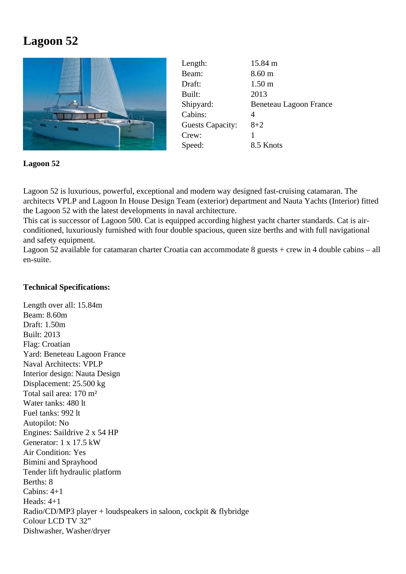## **Lagoon 52**



| Length:                 | 15.84 m                |
|-------------------------|------------------------|
| Beam:                   | 8.60 <sub>m</sub>      |
| Draft:                  | 1.50 <sub>m</sub>      |
| Built:                  | 2013                   |
| Shipyard:               | Beneteau Lagoon France |
| Cabins:                 | 4                      |
| <b>Guests Capacity:</b> | $8 + 2$                |
| Crew:                   |                        |
| Speed:                  | 8.5 Knots              |
|                         |                        |

**Lagoon 52**

Lagoon 52 is luxurious, powerful, exceptional and modern way designed fast-cruising catamaran. The architects VPLP and Lagoon In House Design Team (exterior) department and Nauta Yachts (Interior) fitted the Lagoon 52 with the latest developments in naval architecture.

This cat is successor of Lagoon 500. Cat is equipped according highest yacht charter standards. Cat is airconditioned, luxuriously furnished with four double spacious, queen size berths and with full navigational and safety equipment.

Lagoon 52 available for catamaran charter Croatia can accommodate 8 guests + crew in 4 double cabins – all en-suite.

## **Technical Specifications:**

Length over all: 15.84m Beam: 8.60m Draft: 1.50m Built: 2013 Flag: Croatian Yard: Beneteau Lagoon France Naval Architects: VPLP Interior design: Nauta Design Displacement: 25.500 kg Total sail area: 170 m² Water tanks: 480 lt Fuel tanks: 992 lt Autopilot: No Engines: Saildrive 2 x 54 HP Generator: 1 x 17.5 kW Air Condition: Yes Bimini and Sprayhood Tender lift hydraulic platform Berths: 8 Cabins: 4+1 Heads: 4+1 Radio/CD/MP3 player + loudspeakers in saloon, cockpit & flybridge Colour LCD TV 32" Dishwasher, Washer/dryer